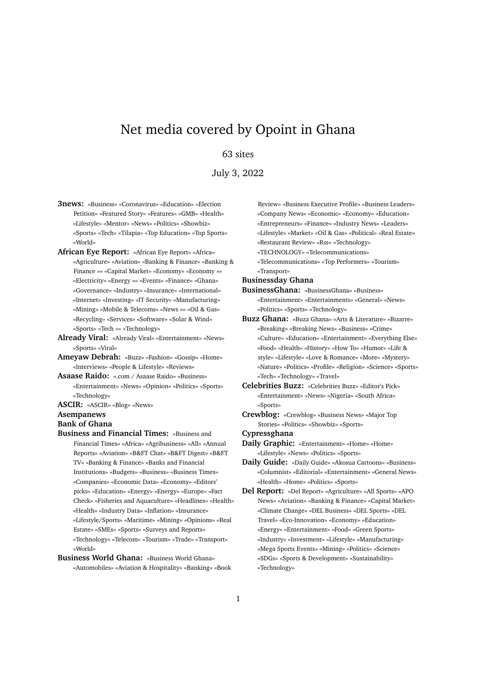# Net media covered by Opoint in Ghana

## 63 sites

July 3, 2022

- **3news:** «Business» «Coronavirus» «Education» «Election Petition» «Featured Story» «Features» «GMB» «Health» «Lifestyle» «Mentor» «News» «Politics» «Showbiz» «Sports» «Tech» «Tilapia» «Top Education» «Top Sports» «World»
- **African Eye Report:** «African Eye Report» «Africa» «Agriculture» «Aviation» «Banking & Finance» «Banking & Finance »» «Capital Market» «Economy» «Economy »» «Electricity» «Energy »» «Events» «Finance» «Ghana» «Governance» «Industry» «Insurance» «International» «Internet» «Investing» «IT Security» «Manufacturing» «Mining» «Mobile & Telecoms» «News »» «Oil & Gas» «Recycling» «Services» «Software» «Solar & Wind» «Sports» «Tech »» «Technology»
- **Already Viral:** «Already Viral» «Entertainment» «News» «Sports» «Viral»
- **Ameyaw Debrah:** «Buzz» «Fashion» «Gossip» «Home» «Interviews» «People & Lifestyle» «Reviews»
- **Asaase Raido:** «.com / Asaase Raido» «Business» «Entertainment» «News» «Opinion» «Politics» «Sports» «Technology»
- **ASCIR:** «ASCIR» «Blog» «News»

#### **Asempanews**

#### **Bank of Ghana**

- **Business and Financial Times:** «Business and Financial Times» «Africa» «Agribusiness» «All» «Annual Reports» «Aviation» «B&FT Chat» «B&FT Digest» «B&FT TV» «Banking & Finance» «Banks and Financial Institutions» «Budgets» «Business» «Business Times» «Companies» «Economic Data» «Economy» «Editors' picks» «Education» «Energy» «Energy» «Europe» «Fact Check» «Fisheries and Aquaculture» «Headlines» «Health» «Health» «Industry Data» «Inflation» «Insurance» «Lifestyle/Sports» «Maritime» «Mining» «Opinions» «Real Estate» «SMEs» «Sports» «Surveys and Reports» «Technology» «Telecom» «Tourism» «Trade» «Transport» «World»
- **Business World Ghana:** «Business World Ghana» «Automobiles» «Aviation & Hospitality» «Banking» «Book

Review» «Business Executive Profile» «Business Leaders» «Company News» «Economic» «Economy» «Education» «Entrepreneurs» «Finance» «Industry News» «Leaders» «Lifestyle» «Market» «Oil & Gas» «Political» «Real Estate» «Restaurant Review» «Rss» «Technology»

- «TECHNOLOGY» «Telecommunications»
- «Telecommunications» «Top Performers» «Tourism» «Transport»

### **Businessday Ghana**

- **BusinessGhana:** «BusinessGhana» «Business» «Entertainment» «Entertainments» «General» «News» «Politics» «Sports» «Technology»
- **Buzz Ghana:** «Buzz Ghana» «Arts & Literature» «Bizarre» «Breaking» «Breaking News» «Business» «Crime» «Culture» «Education» «Entertainment» «Everything Else» «Food» «Health» «History» «How To» «Humor» «Life & style» «Lifestyle» «Love & Romance» «More» «Mystery» «Nature» «Politics» «Profile» «Religion» «Science» «Sports» «Tech» «Technology» «Travel»
- **Celebrities Buzz:** «Celebrities Buzz» «Editor's Pick» «Entertainment» «News» «Nigeria» «South Africa» «Sports»
- **Crewblog:** «Crewblog» «Business News» «Major Top Stories» «Politics» «Showbiz» «Sports»
- **Cypressghana**
- **Daily Graphic:** «Entertainment» «Home» «Home» «Lifestyle» «News» «Politics» «Sports»
- **Daily Guide:** «Daily Guide» «Akosua Cartoons» «Business» «Columnist» «Editorial» «Entertainment» «General News» «Health» «Home» «Politics» «Sports»
- **Del Report:** «Del Report» «Agriculture» «All Sports» «APO News» «Aviation» «Banking & Finance» «Capital Market» «Climate Change» «DEL Business» «DEL Sports» «DEL Travel» «Eco-Innovation» «Economy» «Education» «Energy» «Entertainment» «Food» «Green Sports» «Industry» «Investment» «Lifestyle» «Manufacturing» «Mega Sports Events» «Mining» «Politics» «Science» «SDGs» «Sports & Development» «Sustainability» «Technology»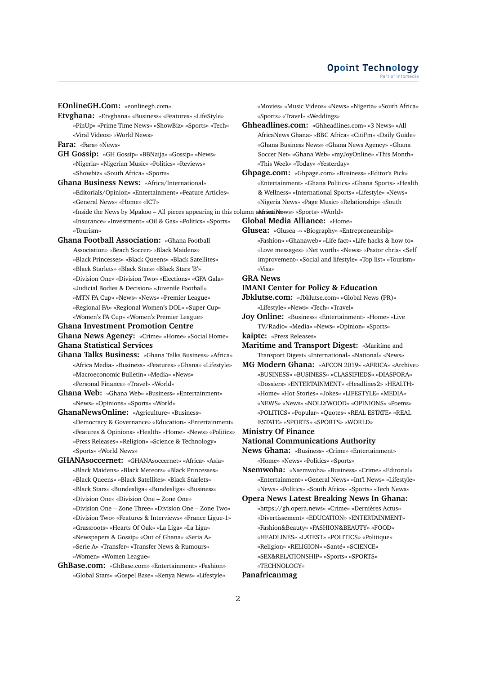**EOnlineGH.Com:** «eonlinegh.com»

**Etvghana:** «Etvghana» «Business» «Features» «LifeStyle» «PinUp» «Prime Time News» «ShowBiz» «Sports» «Tech» «Viral Videos» «World News»

**Fara:** «Fara» «News»

«Tourism»

- **GH Gossip:** «GH Gossip» «BBNaija» «Gossip» «News» «Nigeria» «Nigerian Music» «Politics» «Reviews» «Showbiz» «South Africa» «Sports»
- **Ghana Business News:** «Africa/International» «Editorials/Opinion» «Entertainment» «Feature Articles» «General News» «Home» «ICT» «Inside the News by Mpakoo – All pieces appearing in this column antiricatinitews» «Sports» «World» «Insurance» «Investment» «Oil & Gas» «Politics» «Sports»
- **Ghana Football Association:** «Ghana Football Association» «Beach Soccer» «Black Maidens» «Black Princesses» «Black Queens» «Black Satellites» «Black Starlets» «Black Stars» «Black Stars 'B'» «Division One» «Division Two» «Elections» «GFA Gala» «Judicial Bodies & Decision» «Juvenile Football» «MTN FA Cup» «News» «News» «Premier League» «Regional FA» «Regional Women's DOL» «Super Cup» «Women's FA Cup» «Women's Premier League»

**Ghana Investment Promotion Centre Ghana News Agency:** «Crime» «Home» «Social Home» **Ghana Statistical Services**

- **Ghana Talks Business:** «Ghana Talks Business» «Africa» «Africa Media» «Business» «Features» «Ghana» «Lifestyle» «Macroeconomic Bulletin» «Media» «News» «Personal Finance» «Travel» «World»
- **Ghana Web:** «Ghana Web» «Business» «Entertainment» «News» «Opinions» «Sports» «World»
- **GhanaNewsOnline:** «Agriculture» «Business» «Democracy & Governance» «Education» «Entertainment» «Features & Opinions» «Health» «Home» «News» «Politics» «Press Releases» «Religion» «Science & Technology» «Sports» «World News»
- **GHANAsoccernet:** «GHANAsoccernet» «Africa» «Asia» «Black Maidens» «Black Meteors» «Black Princesses» «Black Queens» «Black Satellites» «Black Starlets» «Black Stars» «Bundesliga» «Bundesliga» «Business» «Division One» «Division One – Zone One» «Division One – Zone Three» «Division One – Zone Two» «Division Two» «Features & Interviews» «France Ligue-1» «Grassroots» «Hearts Of Oak» «La Liga» «La Liga»
	- «Newspapers & Gossip» «Out of Ghana» «Seria A»
	- «Serie A» «Transfer» «Transfer News & Rumours» «Women» «Women League»
- **GhBase.com:** «GhBase.com» «Entertainment» «Fashion» «Global Stars» «Gospel Base» «Kenya News» «Lifestyle»

«Movies» «Music Videos» «News» «Nigeria» «South Africa» «Sports» «Travel» «Weddings»

- **Ghheadlines.com:** «Ghheadlines.com» «3 News» «All AfricaNews Ghana» «BBC Africa» «CitiFm» «Daily Guide» «Ghana Business News» «Ghana News Agency» «Ghana Soccer Net» «Ghana Web» «myJoyOnline» «This Month» «This Week» «Today» «Yesterday»
- **Ghpage.com:** «Ghpage.com» «Business» «Editor's Pick» «Entertainment» «Ghana Politics» «Ghana Sports» «Health & Wellness» «International Sports» «Lifestyle» «News» «Nigeria News» «Page Music» «Relationship» «South

**Global Media Alliance:** «Home»

- **Glusea:** «Glusea -» «Biography» «Entrepreneurship»
	- «Fashion» «Ghanaweb» «Life fact» «Life hacks & how to» «Love messages» «Net worth» «News» «Pastor chris» «Self improvement» «Social and lifestyle» «Top list» «Tourism» «Visa»
- **GRA News**
- **IMANI Center for Policy & Education**
- **Jbklutse.com:** «Jbklutse.com» «Global News (PR)» «Lifestyle» «News» «Tech» «Travel»
- **Joy Online:** «Business» «Entertainment» «Home» «Live TV/Radio» «Media» «News» «Opinion» «Sports»
- **kaiptc:** «Press Releases»
- **Maritime and Transport Digest:** «Maritime and Transport Digest» «International» «National» «News»
- **MG Modern Ghana:** «AFCON 2019» «AFRICA» «Archive» «BUSINESS» «BUSINESS» «CLASSIFIEDS» «DIASPORA» «Dossiers» «ENTERTAINMENT» «Headlines2» «HEALTH» «Home» «Hot Stories» «Jokes» «LIFESTYLE» «MEDIA» «NEWS» «News» «NOLLYWOOD» «OPINIONS» «Poems» «POLITICS» «Popular» «Quotes» «REAL ESTATE» «REAL ESTATE» «SPORTS» «SPORTS» «WORLD»
- **Ministry Of Finance**
- **National Communications Authority**
- **News Ghana:** «Business» «Crime» «Entertainment» «Home» «News» «Politics» «Sports»
- **Nsemwoha:** «Nsemwoha» «Business» «Crime» «Editorial» «Entertainment» «General News» «Int'l News» «Lifestyle» «News» «Politics» «South Africa» «Sports» «Tech News»
- **Opera News Latest Breaking News In Ghana:** «https://gh.opera.news» «Crime» «Dernières Actus» «Divertissement» «EDUCATION» «ENTERTAINMENT» «Fashion&Beauty» «FASHION&BEAUTY» «FOOD» «HEADLINES» «LATEST» «POLITICS» «Politique» «Religion» «RELIGION» «Santé» «SCIENCE» «SEX&RELATIONSHIP» «Sports» «SPORTS» «TECHNOLOGY»

#### **Panafricanmag**